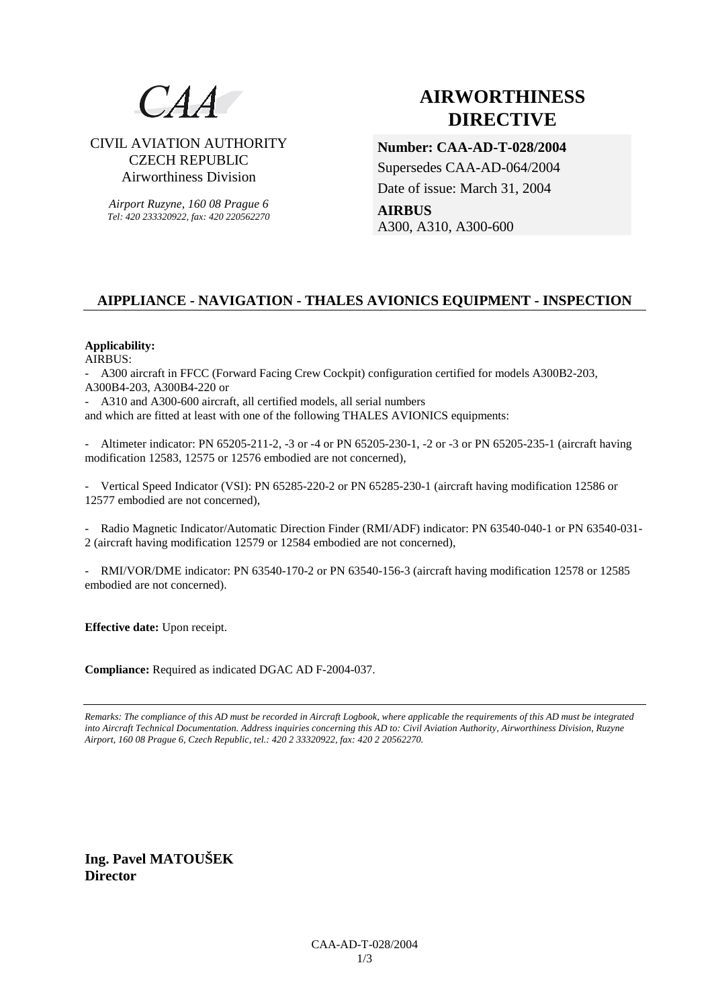

# CIVIL AVIATION AUTHORITY CZECH REPUBLIC Airworthiness Division

*Airport Ruzyne, 160 08 Prague 6 Tel: 420 233320922, fax: 420 220562270*

# **AIRWORTHINESS DIRECTIVE**

**Number: CAA-AD-T-028/2004**  Supersedes CAA-AD-064/2004 Date of issue: March 31, 2004 **AIRBUS**  A300, A310, A300-600

# **AIPPLIANCE - NAVIGATION - THALES AVIONICS EQUIPMENT - INSPECTION**

### **Applicability:**

AIRBUS:

- A300 aircraft in FFCC (Forward Facing Crew Cockpit) configuration certified for models A300B2-203, A300B4-203, A300B4-220 or

- A310 and A300-600 aircraft, all certified models, all serial numbers

and which are fitted at least with one of the following THALES AVIONICS equipments:

- Altimeter indicator: PN 65205-211-2, -3 or -4 or PN 65205-230-1, -2 or -3 or PN 65205-235-1 (aircraft having modification 12583, 12575 or 12576 embodied are not concerned),

- Vertical Speed Indicator (VSI): PN 65285-220-2 or PN 65285-230-1 (aircraft having modification 12586 or 12577 embodied are not concerned),

- Radio Magnetic Indicator/Automatic Direction Finder (RMI/ADF) indicator: PN 63540-040-1 or PN 63540-031- 2 (aircraft having modification 12579 or 12584 embodied are not concerned),

- RMI/VOR/DME indicator: PN 63540-170-2 or PN 63540-156-3 (aircraft having modification 12578 or 12585 embodied are not concerned).

**Effective date:** Upon receipt.

**Compliance:** Required as indicated DGAC AD F-2004-037.

*Remarks: The compliance of this AD must be recorded in Aircraft Logbook, where applicable the requirements of this AD must be integrated into Aircraft Technical Documentation. Address inquiries concerning this AD to: Civil Aviation Authority, Airworthiness Division, Ruzyne Airport, 160 08 Prague 6, Czech Republic, tel.: 420 2 33320922, fax: 420 2 20562270.* 

**Ing. Pavel MATOUŠEK Director**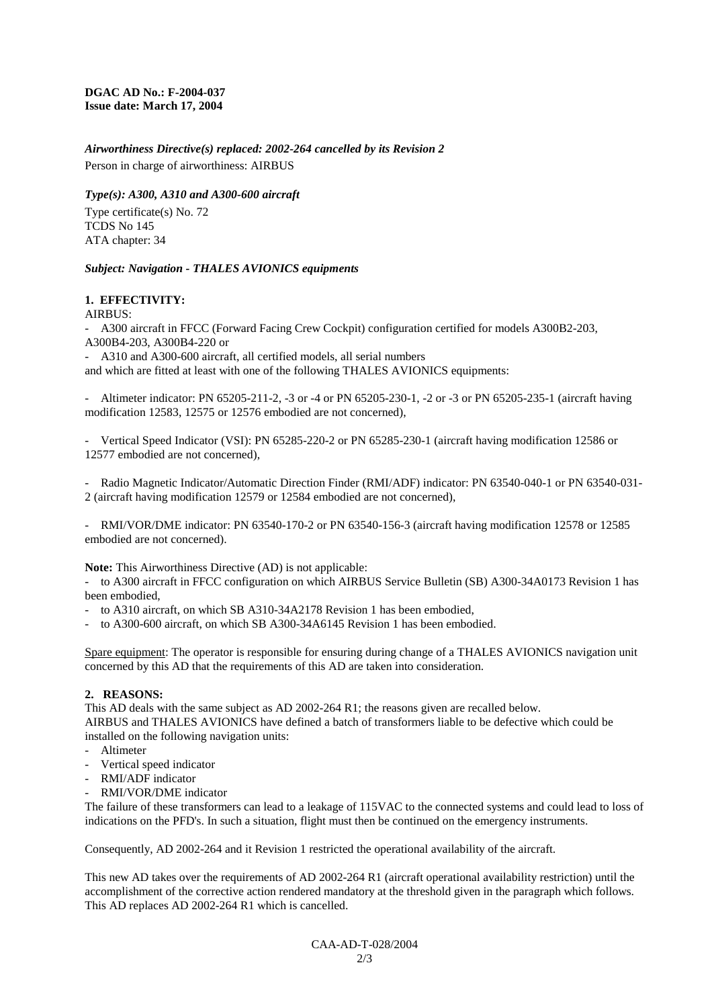**DGAC AD No.: F-2004-037 Issue date: March 17, 2004** 

*Airworthiness Directive(s) replaced: 2002-264 cancelled by its Revision 2*  Person in charge of airworthiness: AIRBUS

#### *Type(s): A300, A310 and A300-600 aircraft*

Type certificate(s) No. 72 TCDS No 145 ATA chapter: 34

### *Subject: Navigation - THALES AVIONICS equipments*

### **1. EFFECTIVITY:**

#### $AIRRIIS$

- A300 aircraft in FFCC (Forward Facing Crew Cockpit) configuration certified for models A300B2-203, A300B4-203, A300B4-220 or

- A310 and A300-600 aircraft, all certified models, all serial numbers

and which are fitted at least with one of the following THALES AVIONICS equipments:

- Altimeter indicator: PN 65205-211-2, -3 or -4 or PN 65205-230-1, -2 or -3 or PN 65205-235-1 (aircraft having modification 12583, 12575 or 12576 embodied are not concerned),

Vertical Speed Indicator (VSI): PN 65285-220-2 or PN 65285-230-1 (aircraft having modification 12586 or 12577 embodied are not concerned),

Radio Magnetic Indicator/Automatic Direction Finder (RMI/ADF) indicator: PN 63540-040-1 or PN 63540-031-2 (aircraft having modification 12579 or 12584 embodied are not concerned),

- RMI/VOR/DME indicator: PN 63540-170-2 or PN 63540-156-3 (aircraft having modification 12578 or 12585 embodied are not concerned).

**Note:** This Airworthiness Directive (AD) is not applicable:

to A300 aircraft in FFCC configuration on which AIRBUS Service Bulletin (SB) A300-34A0173 Revision 1 has been embodied,

- to A310 aircraft, on which SB A310-34A2178 Revision 1 has been embodied,
- to A300-600 aircraft, on which SB A300-34A6145 Revision 1 has been embodied.

Spare equipment: The operator is responsible for ensuring during change of a THALES AVIONICS navigation unit concerned by this AD that the requirements of this AD are taken into consideration.

# **2. REASONS:**

This AD deals with the same subject as AD 2002-264 R1; the reasons given are recalled below. AIRBUS and THALES AVIONICS have defined a batch of transformers liable to be defective which could be installed on the following navigation units:

- Altimeter
- Vertical speed indicator
- RMI/ADF indicator
- RMI/VOR/DME indicator

The failure of these transformers can lead to a leakage of 115VAC to the connected systems and could lead to loss of indications on the PFD's. In such a situation, flight must then be continued on the emergency instruments.

Consequently, AD 2002-264 and it Revision 1 restricted the operational availability of the aircraft.

This new AD takes over the requirements of AD 2002-264 R1 (aircraft operational availability restriction) until the accomplishment of the corrective action rendered mandatory at the threshold given in the paragraph which follows. This AD replaces AD 2002-264 R1 which is cancelled.